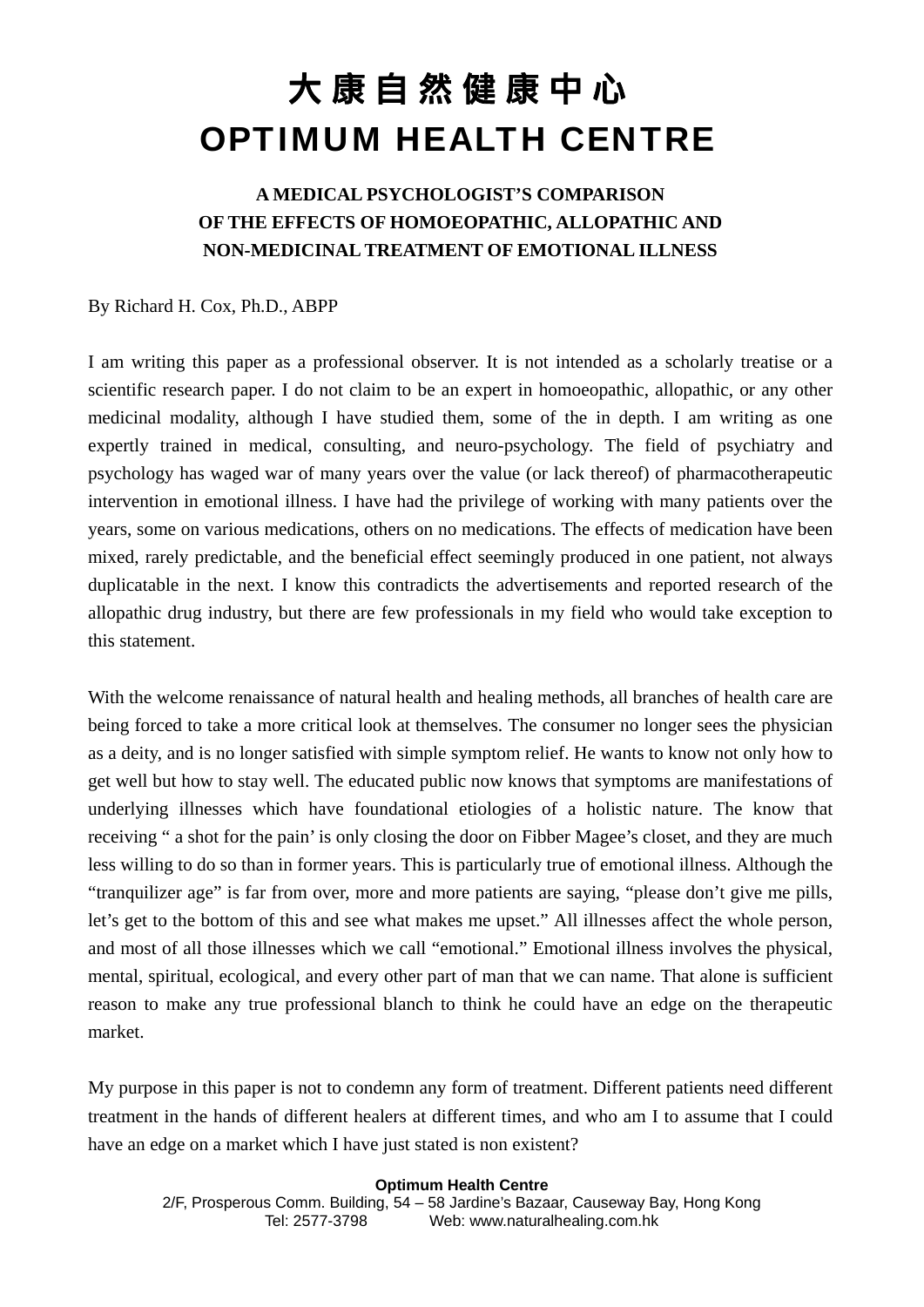### **A MEDICAL PSYCHOLOGIST'S COMPARISON OF THE EFFECTS OF HOMOEOPATHIC, ALLOPATHIC AND NON-MEDICINAL TREATMENT OF EMOTIONAL ILLNESS**

#### By Richard H. Cox, Ph.D., ABPP

I am writing this paper as a professional observer. It is not intended as a scholarly treatise or a scientific research paper. I do not claim to be an expert in homoeopathic, allopathic, or any other medicinal modality, although I have studied them, some of the in depth. I am writing as one expertly trained in medical, consulting, and neuro-psychology. The field of psychiatry and psychology has waged war of many years over the value (or lack thereof) of pharmacotherapeutic intervention in emotional illness. I have had the privilege of working with many patients over the years, some on various medications, others on no medications. The effects of medication have been mixed, rarely predictable, and the beneficial effect seemingly produced in one patient, not always duplicatable in the next. I know this contradicts the advertisements and reported research of the allopathic drug industry, but there are few professionals in my field who would take exception to this statement.

With the welcome renaissance of natural health and healing methods, all branches of health care are being forced to take a more critical look at themselves. The consumer no longer sees the physician as a deity, and is no longer satisfied with simple symptom relief. He wants to know not only how to get well but how to stay well. The educated public now knows that symptoms are manifestations of underlying illnesses which have foundational etiologies of a holistic nature. The know that receiving " a shot for the pain' is only closing the door on Fibber Magee's closet, and they are much less willing to do so than in former years. This is particularly true of emotional illness. Although the "tranquilizer age" is far from over, more and more patients are saying, "please don't give me pills, let's get to the bottom of this and see what makes me upset." All illnesses affect the whole person, and most of all those illnesses which we call "emotional." Emotional illness involves the physical, mental, spiritual, ecological, and every other part of man that we can name. That alone is sufficient reason to make any true professional blanch to think he could have an edge on the therapeutic market.

My purpose in this paper is not to condemn any form of treatment. Different patients need different treatment in the hands of different healers at different times, and who am I to assume that I could have an edge on a market which I have just stated is non existent?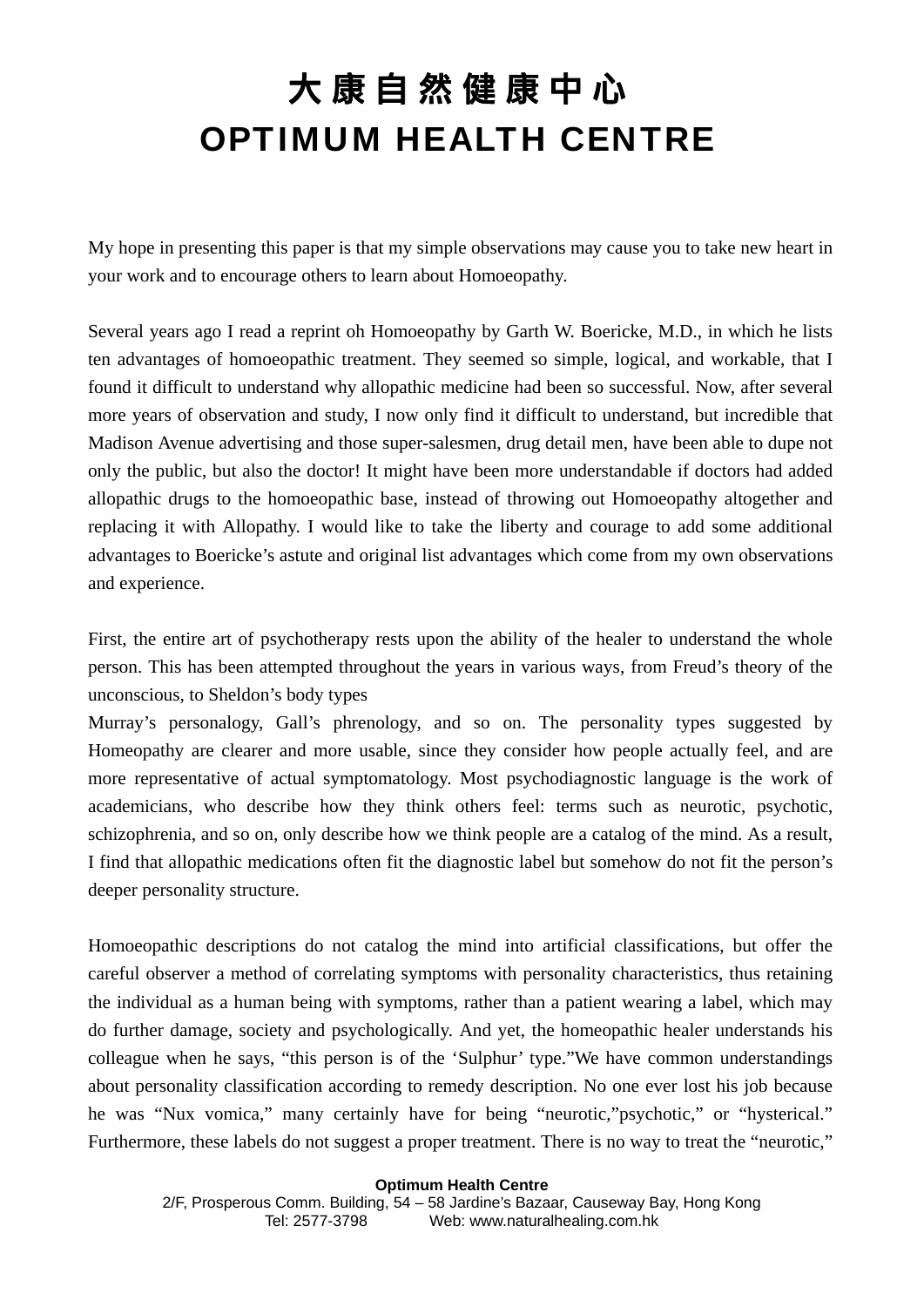My hope in presenting this paper is that my simple observations may cause you to take new heart in your work and to encourage others to learn about Homoeopathy.

Several years ago I read a reprint oh Homoeopathy by Garth W. Boericke, M.D., in which he lists ten advantages of homoeopathic treatment. They seemed so simple, logical, and workable, that I found it difficult to understand why allopathic medicine had been so successful. Now, after several more years of observation and study, I now only find it difficult to understand, but incredible that Madison Avenue advertising and those super-salesmen, drug detail men, have been able to dupe not only the public, but also the doctor! It might have been more understandable if doctors had added allopathic drugs to the homoeopathic base, instead of throwing out Homoeopathy altogether and replacing it with Allopathy. I would like to take the liberty and courage to add some additional advantages to Boericke's astute and original list advantages which come from my own observations and experience.

First, the entire art of psychotherapy rests upon the ability of the healer to understand the whole person. This has been attempted throughout the years in various ways, from Freud's theory of the unconscious, to Sheldon's body types

Murray's personalogy, Gall's phrenology, and so on. The personality types suggested by Homeopathy are clearer and more usable, since they consider how people actually feel, and are more representative of actual symptomatology. Most psychodiagnostic language is the work of academicians, who describe how they think others feel: terms such as neurotic, psychotic, schizophrenia, and so on, only describe how we think people are a catalog of the mind. As a result, I find that allopathic medications often fit the diagnostic label but somehow do not fit the person's deeper personality structure.

Homoeopathic descriptions do not catalog the mind into artificial classifications, but offer the careful observer a method of correlating symptoms with personality characteristics, thus retaining the individual as a human being with symptoms, rather than a patient wearing a label, which may do further damage, society and psychologically. And yet, the homeopathic healer understands his colleague when he says, "this person is of the 'Sulphur' type."We have common understandings about personality classification according to remedy description. No one ever lost his job because he was "Nux vomica," many certainly have for being "neurotic," psychotic," or "hysterical." Furthermore, these labels do not suggest a proper treatment. There is no way to treat the "neurotic,"

**Optimum Health Centre** 

2/F, Prosperous Comm. Building, 54 – 58 Jardine's Bazaar, Causeway Bay, Hong Kong Tel: 2577-3798 Web: www.naturalhealing.com.hk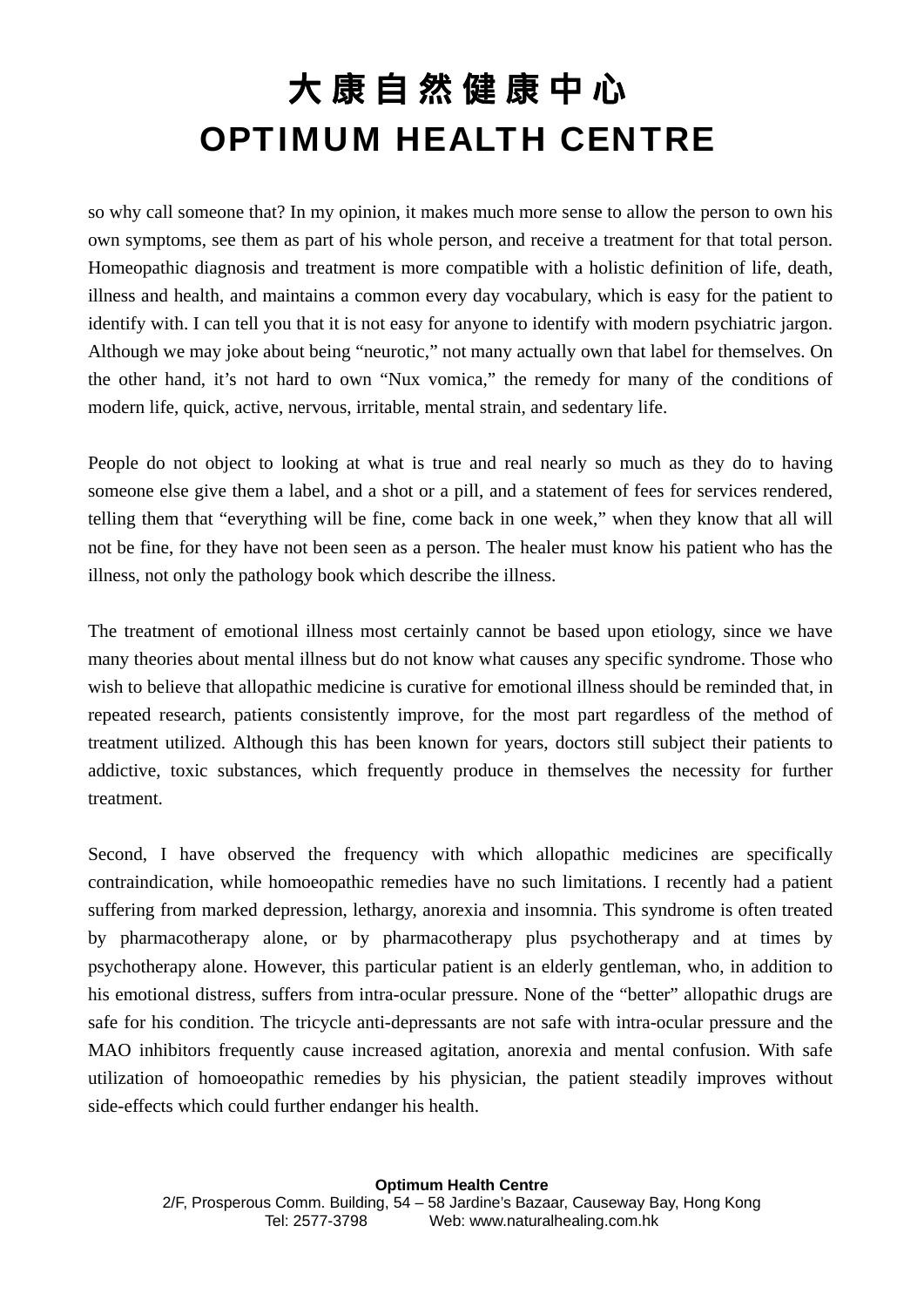so why call someone that? In my opinion, it makes much more sense to allow the person to own his own symptoms, see them as part of his whole person, and receive a treatment for that total person. Homeopathic diagnosis and treatment is more compatible with a holistic definition of life, death, illness and health, and maintains a common every day vocabulary, which is easy for the patient to identify with. I can tell you that it is not easy for anyone to identify with modern psychiatric jargon. Although we may joke about being "neurotic," not many actually own that label for themselves. On the other hand, it's not hard to own "Nux vomica," the remedy for many of the conditions of modern life, quick, active, nervous, irritable, mental strain, and sedentary life.

People do not object to looking at what is true and real nearly so much as they do to having someone else give them a label, and a shot or a pill, and a statement of fees for services rendered, telling them that "everything will be fine, come back in one week," when they know that all will not be fine, for they have not been seen as a person. The healer must know his patient who has the illness, not only the pathology book which describe the illness.

The treatment of emotional illness most certainly cannot be based upon etiology, since we have many theories about mental illness but do not know what causes any specific syndrome. Those who wish to believe that allopathic medicine is curative for emotional illness should be reminded that, in repeated research, patients consistently improve, for the most part regardless of the method of treatment utilized. Although this has been known for years, doctors still subject their patients to addictive, toxic substances, which frequently produce in themselves the necessity for further treatment.

Second, I have observed the frequency with which allopathic medicines are specifically contraindication, while homoeopathic remedies have no such limitations. I recently had a patient suffering from marked depression, lethargy, anorexia and insomnia. This syndrome is often treated by pharmacotherapy alone, or by pharmacotherapy plus psychotherapy and at times by psychotherapy alone. However, this particular patient is an elderly gentleman, who, in addition to his emotional distress, suffers from intra-ocular pressure. None of the "better" allopathic drugs are safe for his condition. The tricycle anti-depressants are not safe with intra-ocular pressure and the MAO inhibitors frequently cause increased agitation, anorexia and mental confusion. With safe utilization of homoeopathic remedies by his physician, the patient steadily improves without side-effects which could further endanger his health.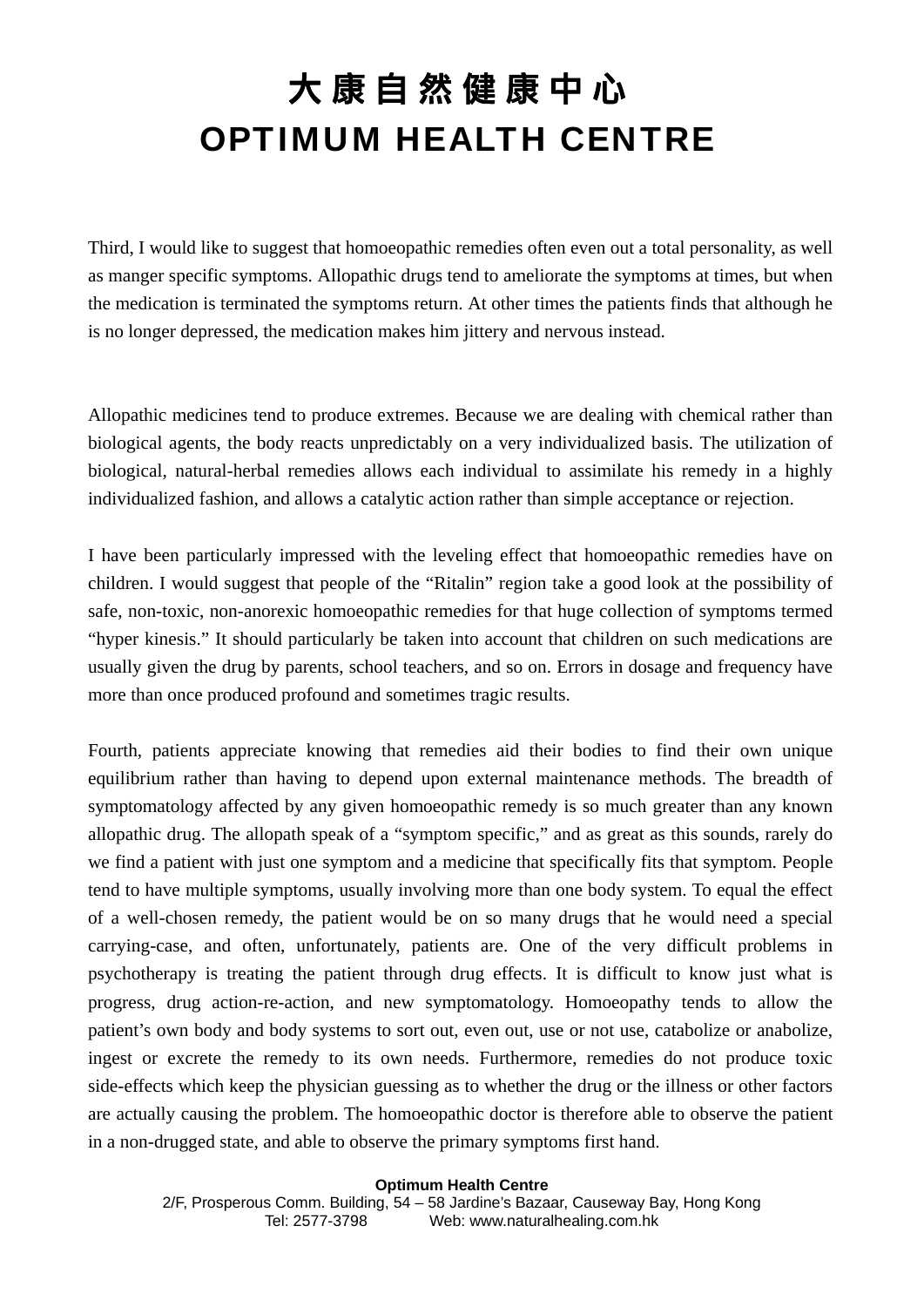Third, I would like to suggest that homoeopathic remedies often even out a total personality, as well as manger specific symptoms. Allopathic drugs tend to ameliorate the symptoms at times, but when the medication is terminated the symptoms return. At other times the patients finds that although he is no longer depressed, the medication makes him jittery and nervous instead.

Allopathic medicines tend to produce extremes. Because we are dealing with chemical rather than biological agents, the body reacts unpredictably on a very individualized basis. The utilization of biological, natural-herbal remedies allows each individual to assimilate his remedy in a highly individualized fashion, and allows a catalytic action rather than simple acceptance or rejection.

I have been particularly impressed with the leveling effect that homoeopathic remedies have on children. I would suggest that people of the "Ritalin" region take a good look at the possibility of safe, non-toxic, non-anorexic homoeopathic remedies for that huge collection of symptoms termed "hyper kinesis." It should particularly be taken into account that children on such medications are usually given the drug by parents, school teachers, and so on. Errors in dosage and frequency have more than once produced profound and sometimes tragic results.

Fourth, patients appreciate knowing that remedies aid their bodies to find their own unique equilibrium rather than having to depend upon external maintenance methods. The breadth of symptomatology affected by any given homoeopathic remedy is so much greater than any known allopathic drug. The allopath speak of a "symptom specific," and as great as this sounds, rarely do we find a patient with just one symptom and a medicine that specifically fits that symptom. People tend to have multiple symptoms, usually involving more than one body system. To equal the effect of a well-chosen remedy, the patient would be on so many drugs that he would need a special carrying-case, and often, unfortunately, patients are. One of the very difficult problems in psychotherapy is treating the patient through drug effects. It is difficult to know just what is progress, drug action-re-action, and new symptomatology. Homoeopathy tends to allow the patient's own body and body systems to sort out, even out, use or not use, catabolize or anabolize, ingest or excrete the remedy to its own needs. Furthermore, remedies do not produce toxic side-effects which keep the physician guessing as to whether the drug or the illness or other factors are actually causing the problem. The homoeopathic doctor is therefore able to observe the patient in a non-drugged state, and able to observe the primary symptoms first hand.

**Optimum Health Centre**  2/F, Prosperous Comm. Building, 54 – 58 Jardine's Bazaar, Causeway Bay, Hong Kong Tel: 2577-3798 Web: www.naturalhealing.com.hk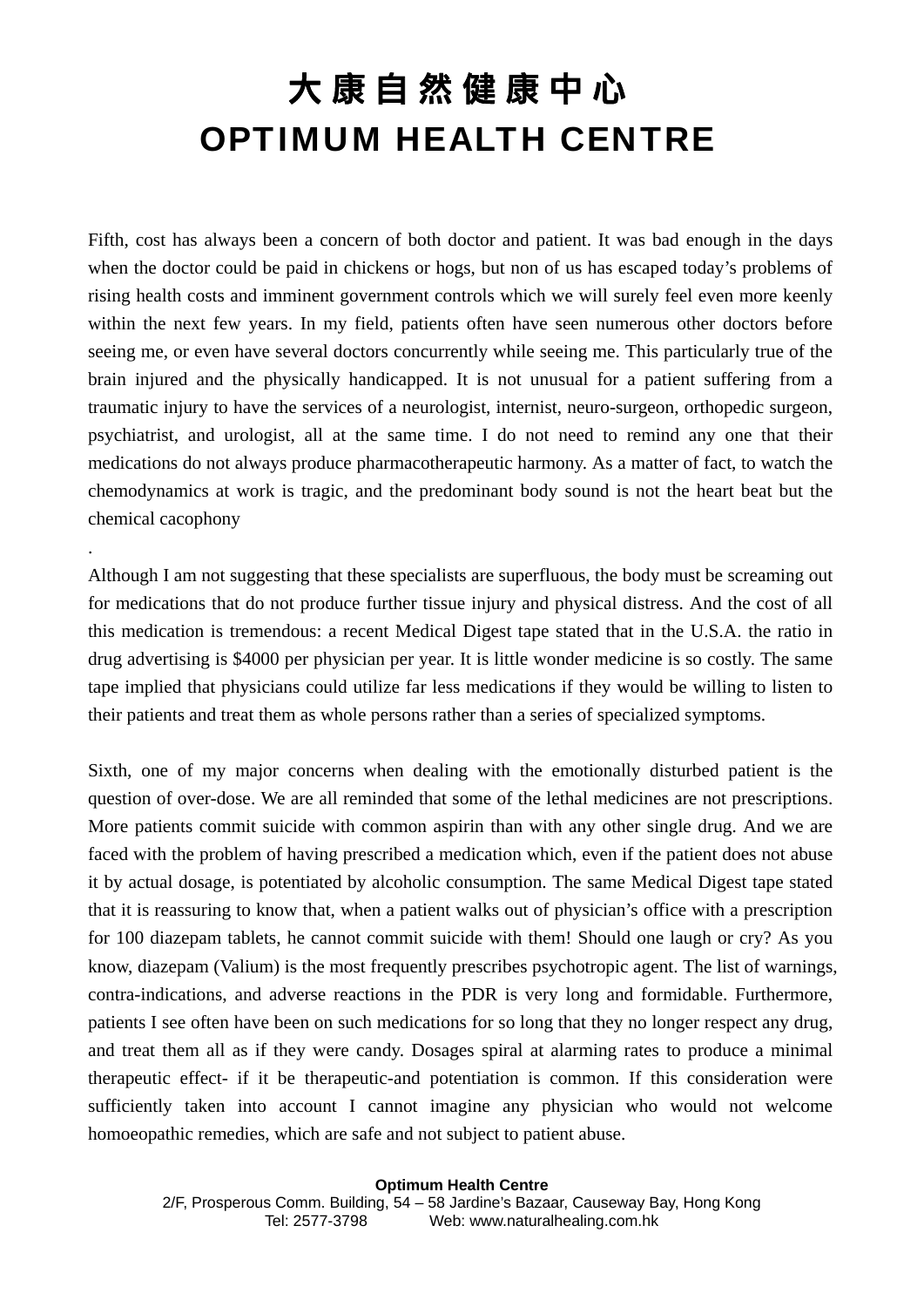Fifth, cost has always been a concern of both doctor and patient. It was bad enough in the days when the doctor could be paid in chickens or hogs, but non of us has escaped today's problems of rising health costs and imminent government controls which we will surely feel even more keenly within the next few years. In my field, patients often have seen numerous other doctors before seeing me, or even have several doctors concurrently while seeing me. This particularly true of the brain injured and the physically handicapped. It is not unusual for a patient suffering from a traumatic injury to have the services of a neurologist, internist, neuro-surgeon, orthopedic surgeon, psychiatrist, and urologist, all at the same time. I do not need to remind any one that their medications do not always produce pharmacotherapeutic harmony. As a matter of fact, to watch the chemodynamics at work is tragic, and the predominant body sound is not the heart beat but the chemical cacophony

Although I am not suggesting that these specialists are superfluous, the body must be screaming out for medications that do not produce further tissue injury and physical distress. And the cost of all this medication is tremendous: a recent Medical Digest tape stated that in the U.S.A. the ratio in drug advertising is \$4000 per physician per year. It is little wonder medicine is so costly. The same tape implied that physicians could utilize far less medications if they would be willing to listen to their patients and treat them as whole persons rather than a series of specialized symptoms.

.

Sixth, one of my major concerns when dealing with the emotionally disturbed patient is the question of over-dose. We are all reminded that some of the lethal medicines are not prescriptions. More patients commit suicide with common aspirin than with any other single drug. And we are faced with the problem of having prescribed a medication which, even if the patient does not abuse it by actual dosage, is potentiated by alcoholic consumption. The same Medical Digest tape stated that it is reassuring to know that, when a patient walks out of physician's office with a prescription for 100 diazepam tablets, he cannot commit suicide with them! Should one laugh or cry? As you know, diazepam (Valium) is the most frequently prescribes psychotropic agent. The list of warnings, contra-indications, and adverse reactions in the PDR is very long and formidable. Furthermore, patients I see often have been on such medications for so long that they no longer respect any drug, and treat them all as if they were candy. Dosages spiral at alarming rates to produce a minimal therapeutic effect- if it be therapeutic-and potentiation is common. If this consideration were sufficiently taken into account I cannot imagine any physician who would not welcome homoeopathic remedies, which are safe and not subject to patient abuse.

**Optimum Health Centre**  2/F, Prosperous Comm. Building, 54 – 58 Jardine's Bazaar, Causeway Bay, Hong Kong Tel: 2577-3798 Web: www.naturalhealing.com.hk